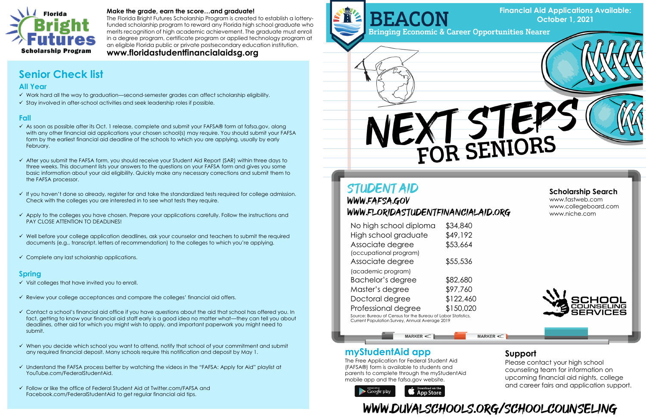

### **Make the grade, earn the score…and graduate!**

The Florida Bright Futures Scholarship Program is created to establish a lotteryfunded scholarship program to reward any Florida high school graduate who merits recognition of high academic achievement. The graduate must enroll in a degree program, certificate program or applied technology program at an eligible Florida public or private postsecondary education institution.

**www.floridastudentfinancialaidsg.org**

# **myStudentAid app**

The Free Application for Federal Student Aid (FAFSA®) form is available to students and parents to complete through the myStudentAid mobile app and the fafsa.gov website.



# WWW.DUVALSCHOOLS.ORG/SCHOOLCOUNSELING

| No high school diploma                                      | \$34,840  |  |
|-------------------------------------------------------------|-----------|--|
| High school graduate                                        | \$49,192  |  |
| Associate degree                                            | \$53,664  |  |
| (occupational program)                                      |           |  |
| Associate degree                                            | \$55,536  |  |
| (academic program)                                          |           |  |
| Bachelor's degree                                           | \$82,680  |  |
| Master's degree                                             | \$97,760  |  |
| Doctoral degree                                             | \$122,460 |  |
| Professional degree                                         | \$150,020 |  |
| Source: Bureau of Consus for the Bureau of Labor Statistics |           |  |

Source: Bureau of Census for the Bureau of Labor Statistics, Current Population Survey, Annual Average 2019

MARKER <C

# **Scholarship Search**

www.fastweb.com www.collegeboard.com www.niche.com



# **Support**

Please contact your high school counseling team for information on upcoming financial aid nights, college and career fairs and application support.



## **All Year**

- ✓ Work hard all the way to graduation—second-semester grades can affect scholarship eligibility.
- ✓ Stay involved in after-school activities and seek leadership roles if possible.

## **Fall**

- $\checkmark$  As soon as possible after its Oct. 1 release, complete and submit your FAFSA® form at fafsa.gov, along with any other financial aid applications your chosen school(s) may require. You should submit your FAFSA form by the earliest financial aid deadline of the schools to which you are applying, usually by early February.
- ✓ After you submit the FAFSA form, you should receive your Student Aid Report (SAR) within three days to three weeks. This document lists your answers to the questions on your FAFSA form and gives you some basic information about your aid eligibility. Quickly make any necessary corrections and submit them to the FAFSA processor.
- ✓ If you haven't done so already, register for and take the standardized tests required for college admission. Check with the colleges you are interested in to see what tests they require.
- ✓ Apply to the colleges you have chosen. Prepare your applications carefully. Follow the instructions and PAY CLOSE ATTENTION TO DEADLINES!
- ✓ Well before your college application deadlines, ask your counselor and teachers to submit the required documents (e.g., transcript, letters of recommendation) to the colleges to which you're applying.
- $\checkmark$  Complete any last scholarship applications.

- $\checkmark$  Visit colleges that have invited you to enroll.
- ✓ Review your college acceptances and compare the colleges' financial aid offers.
- ✓ Contact a school's financial aid office if you have questions about the aid that school has offered you. In fact, getting to know your financial aid staff early is a good idea no matter what—they can tell you about deadlines, other aid for which you might wish to apply, and important paperwork you might need to submit.
- ✓ When you decide which school you want to attend, notify that school of your commitment and submit any required financial deposit. Many schools require this notification and deposit by May 1.
- ✓ Understand the FAFSA process better by watching the videos in the "FAFSA: Apply for Aid" playlist at YouTube.com/FederalStudentAid.
- ✓ Follow or like the office of Federal Student Aid at Twitter.com/FAFSA and Facebook.com/FederalStudentAid to get regular financial aid tips.



# EXT STEP

# **STUDENT AID** WWW.FAFSA.GOV WWW.FLORIDASTUDENTFINANCIALAID.ORG

## **Spring**

# **Senior Check list**